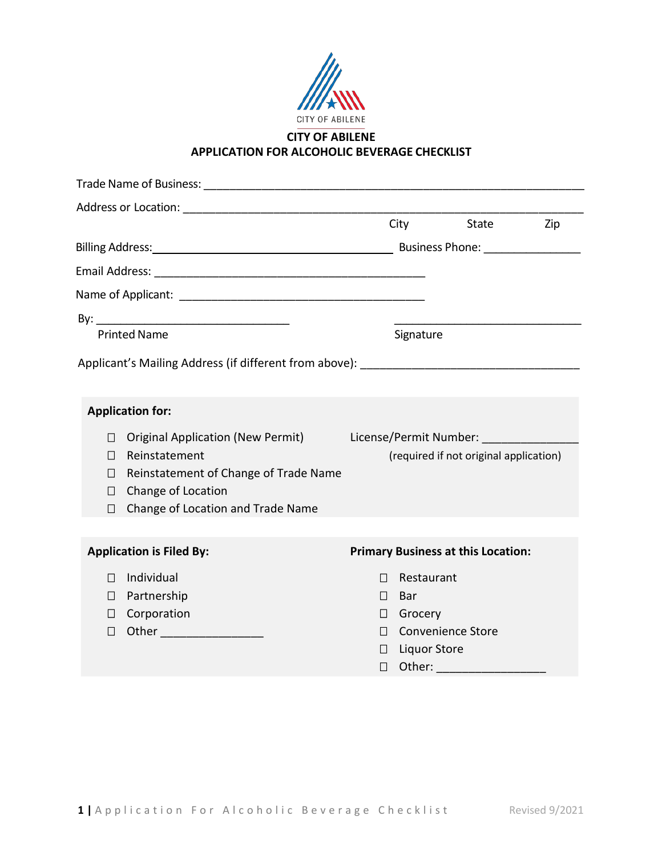

### **CITY OF ABILENE APPLICATION FOR ALCOHOLIC BEVERAGE CHECKLIST**

|                     |                                       |                                        | <b>City</b>         | State                                                                                                           | Zip |
|---------------------|---------------------------------------|----------------------------------------|---------------------|-----------------------------------------------------------------------------------------------------------------|-----|
|                     |                                       |                                        |                     |                                                                                                                 |     |
|                     |                                       |                                        |                     |                                                                                                                 |     |
|                     |                                       |                                        |                     |                                                                                                                 |     |
|                     |                                       |                                        |                     |                                                                                                                 |     |
| <b>Printed Name</b> |                                       | Signature                              |                     |                                                                                                                 |     |
|                     |                                       |                                        |                     |                                                                                                                 |     |
|                     |                                       |                                        |                     |                                                                                                                 |     |
|                     |                                       |                                        |                     |                                                                                                                 |     |
|                     | <b>Application for:</b>               |                                        |                     |                                                                                                                 |     |
| П                   | Original Application (New Permit)     |                                        |                     | License/Permit Number:                                                                                          |     |
| П                   | Reinstatement                         | (required if not original application) |                     |                                                                                                                 |     |
| $\perp$             | Reinstatement of Change of Trade Name |                                        |                     |                                                                                                                 |     |
| $\sqcup$            | Change of Location                    |                                        |                     |                                                                                                                 |     |
| П                   | Change of Location and Trade Name     |                                        |                     |                                                                                                                 |     |
|                     |                                       |                                        |                     |                                                                                                                 |     |
|                     | <b>Application is Filed By:</b>       |                                        |                     | <b>Primary Business at this Location:</b>                                                                       |     |
| П                   | Individual                            | $\Box$                                 | Restaurant          |                                                                                                                 |     |
| П                   | Partnership                           | $\Box$                                 | Bar                 |                                                                                                                 |     |
| $\Box$              | Corporation                           | $\Box$                                 | Grocery             |                                                                                                                 |     |
| □                   |                                       | $\Box$                                 |                     | <b>Convenience Store</b>                                                                                        |     |
|                     |                                       | $\perp$                                | <b>Liquor Store</b> |                                                                                                                 |     |
|                     |                                       | $\Box$                                 |                     | Other: and the state of the state of the state of the state of the state of the state of the state of the state |     |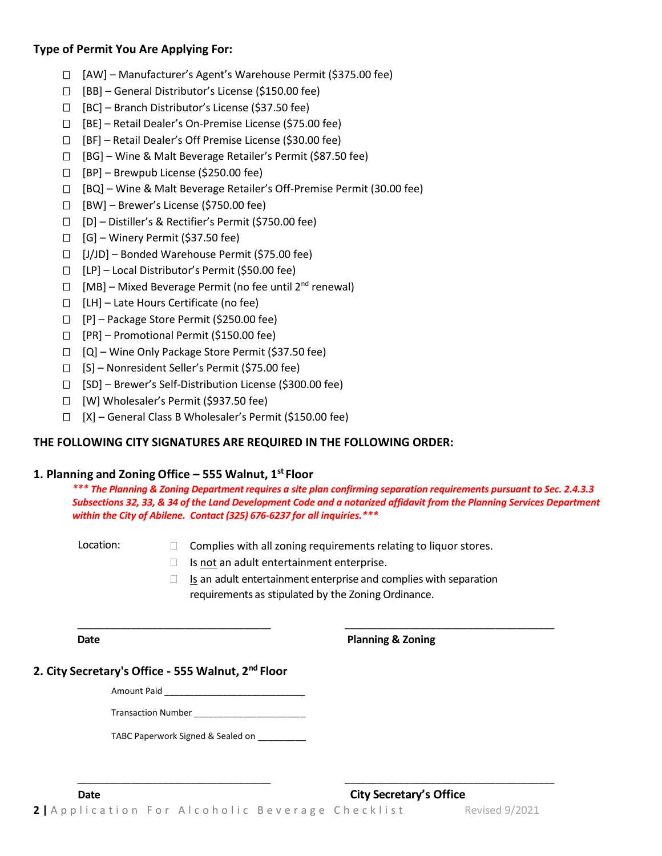### **Type of Permit You Are Applying For:**

- [AW] Manufacturer's Agent's Warehouse Permit (\$375.00 fee)
- $\Box$  [BB] General Distributor's License (\$150.00 fee)
- $\Box$  [BC] Branch Distributor's License (\$37.50 fee)
- [BE] Retail Dealer's On-Premise License (\$75.00 fee)
- [BF] Retail Dealer's Off Premise License (\$30.00 fee)
- [BG] Wine & Malt Beverage Retailer's Permit (\$87.50 fee)
- $\Box$  [BP] Brewpub License (\$250.00 fee)
- [BQ] Wine & Malt Beverage Retailer's Off-Premise Permit (30.00 fee)
- $\Box$  [BW] Brewer's License (\$750.00 fee)
- [D] Distiller's & Rectifier's Permit (\$750.00 fee)
- $\Box$  [G] Winery Permit (\$37.50 fee)
- $\Box$  [J/JD] Bonded Warehouse Permit (\$75.00 fee)
- $\Box$  [LP] Local Distributor's Permit (\$50.00 fee)
- $\Box$  [MB] Mixed Beverage Permit (no fee until 2<sup>nd</sup> renewal)
- $\Box$  [LH] Late Hours Certificate (no fee)
- $\Box$  [P] Package Store Permit (\$250.00 fee)
- [PR] Promotional Permit (\$150.00 fee)
- $\Box$  [Q] Wine Only Package Store Permit (\$37.50 fee)
- [S] Nonresident Seller's Permit (\$75.00 fee)
- [SD] Brewer's Self-Distribution License (\$300.00 fee)
- [W] Wholesaler's Permit (\$937.50 fee)
- [X] General Class B Wholesaler's Permit (\$150.00 fee)

### **THE FOLLOWING CITY SIGNATURES ARE REQUIRED IN THE FOLLOWING ORDER:**

### **1. Planning and Zoning Office – 555 Walnut, 1 st Floor**

*\*\*\* The Planning & Zoning Departmentrequires a site plan confirming separation requirements pursuant to Sec. 2.4.3.3 Subsections 32, 33, & 34 of the Land Development Code and a notarized affidavit from the Planning Services Department within the City of Abilene. Contact (325) 676-6237 for all inquiries.\*\*\**

- Location:  $\Box$  Complies with all zoning requirements relating to liquor stores.
	- $\Box$  Is not an adult entertainment enterprise.
	- $\Box$  Is an adult entertainment enterprise and complies with separation requirements as stipulated by the Zoning Ordinance.

\_\_\_\_\_\_\_\_\_\_\_\_\_\_\_\_\_\_\_\_\_\_\_\_\_\_\_\_\_\_\_\_\_\_\_\_ \_\_\_\_\_\_\_\_\_\_\_\_\_\_\_\_\_\_\_\_\_\_\_\_\_\_\_\_\_\_\_\_\_\_\_\_\_\_\_

**Date Planning & Zoning**

### **2. City Secretary's Office - 555 Walnut, 2 nd Floor**

Amount Paid \_\_\_\_\_\_

Transaction Number \_\_\_\_\_\_\_\_\_\_\_\_\_\_\_\_\_\_\_\_\_\_\_

TABC Paperwork Signed & Sealed on \_\_\_\_\_\_\_\_\_

\_\_\_\_\_\_\_\_\_\_\_\_\_\_\_\_\_\_\_\_\_\_\_\_\_\_\_\_\_\_\_\_\_\_\_\_ \_\_\_\_\_\_\_\_\_\_\_\_\_\_\_\_\_\_\_\_\_\_\_\_\_\_\_\_\_\_\_\_\_\_\_\_\_\_\_